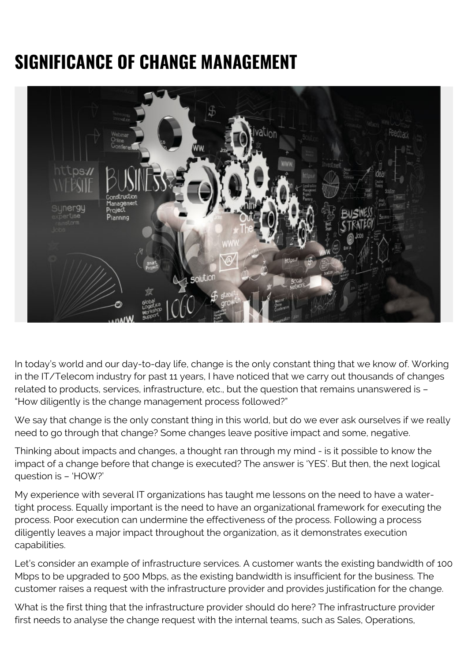## **SIGNIFICANCE OF CHANGE MANAGEMENT**



In today's world and our day-to-day life, change is the only constant thing that we know of. Working in the IT/Telecom industry for past 11 years, I have noticed that we carry out thousands of changes related to products, services, infrastructure, etc., but the question that remains unanswered is – "How diligently is the change management process followed?"

We say that change is the only constant thing in this world, but do we ever ask ourselves if we really need to go through that change? Some changes leave positive impact and some, negative.

Thinking about impacts and changes, a thought ran through my mind - is it possible to know the impact of a change before that change is executed? The answer is 'YES'. But then, the next logical question is – 'HOW?'

My experience with several IT organizations has taught me lessons on the need to have a watertight process. Equally important is the need to have an organizational framework for executing the process. Poor execution can undermine the effectiveness of the process. Following a process diligently leaves a major impact throughout the organization, as it demonstrates execution capabilities.

Let's consider an example of infrastructure services. A customer wants the existing bandwidth of 100 Mbps to be upgraded to 500 Mbps, as the existing bandwidth is insufficient for the business. The customer raises a request with the infrastructure provider and provides justification for the change.

What is the first thing that the infrastructure provider should do here? The infrastructure provider first needs to analyse the change request with the internal teams, such as Sales, Operations,